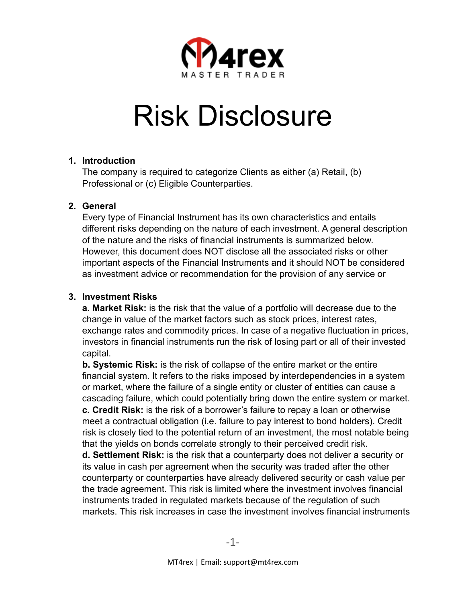

# Risk Disclosure

### **1. Introduction**

The company is required to categorize Clients as either (a) Retail, (b) Professional or (c) Eligible Counterparties.

### **2. General**

Every type of Financial Instrument has its own characteristics and entails different risks depending on the nature of each investment. A general description of the nature and the risks of financial instruments is summarized below. However, this document does NOT disclose all the associated risks or other important aspects of the Financial Instruments and it should NOT be considered as investment advice or recommendation for the provision of any service or

## **3. Investment Risks**

**a. Market Risk:** is the risk that the value of a portfolio will decrease due to the change in value of the market factors such as stock prices, interest rates, exchange rates and commodity prices. In case of a negative fluctuation in prices, investors in financial instruments run the risk of losing part or all of their invested capital.

**b. Systemic Risk:** is the risk of collapse of the entire market or the entire financial system. It refers to the risks imposed by interdependencies in a system or market, where the failure of a single entity or cluster of entities can cause a cascading failure, which could potentially bring down the entire system or market. **c. Credit Risk:** is the risk of a borrower's failure to repay a loan or otherwise meet a contractual obligation (i.e. failure to pay interest to bond holders). Credit risk is closely tied to the potential return of an investment, the most notable being that the yields on bonds correlate strongly to their perceived credit risk.

**d. Settlement Risk:** is the risk that a counterparty does not deliver a security or its value in cash per agreement when the security was traded after the other counterparty or counterparties have already delivered security or cash value per the trade agreement. This risk is limited where the investment involves financial instruments traded in regulated markets because of the regulation of such markets. This risk increases in case the investment involves financial instruments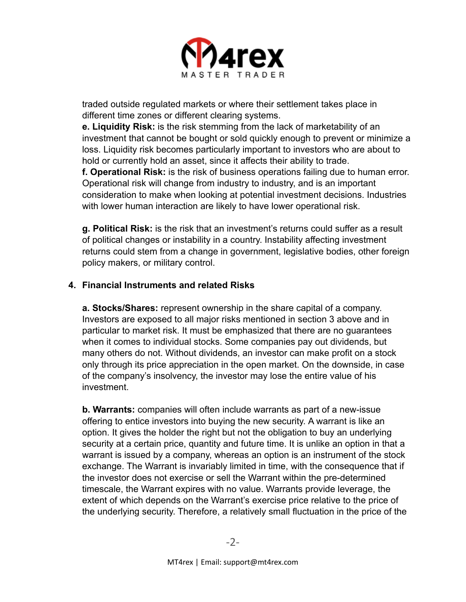

traded outside regulated markets or where their settlement takes place in different time zones or different clearing systems.

**e. Liquidity Risk:** is the risk stemming from the lack of marketability of an investment that cannot be bought or sold quickly enough to prevent or minimize a loss. Liquidity risk becomes particularly important to investors who are about to hold or currently hold an asset, since it affects their ability to trade.

**f. Operational Risk:** is the risk of business operations failing due to human error. Operational risk will change from industry to industry, and is an important consideration to make when looking at potential investment decisions. Industries with lower human interaction are likely to have lower operational risk.

**g. Political Risk:** is the risk that an investment's returns could suffer as a result of political changes or instability in a country. Instability affecting investment returns could stem from a change in government, legislative bodies, other foreign policy makers, or military control.

### **4. Financial Instruments and related Risks**

**a. Stocks/Shares:** represent ownership in the share capital of a company. Investors are exposed to all major risks mentioned in section 3 above and in particular to market risk. It must be emphasized that there are no guarantees when it comes to individual stocks. Some companies pay out dividends, but many others do not. Without dividends, an investor can make profit on a stock only through its price appreciation in the open market. On the downside, in case of the company's insolvency, the investor may lose the entire value of his investment.

**b. Warrants:** companies will often include warrants as part of a new-issue offering to entice investors into buying the new security. A warrant is like an option. It gives the holder the right but not the obligation to buy an underlying security at a certain price, quantity and future time. It is unlike an option in that a warrant is issued by a company, whereas an option is an instrument of the stock exchange. The Warrant is invariably limited in time, with the consequence that if the investor does not exercise or sell the Warrant within the pre-determined timescale, the Warrant expires with no value. Warrants provide leverage, the extent of which depends on the Warrant's exercise price relative to the price of the underlying security. Therefore, a relatively small fluctuation in the price of the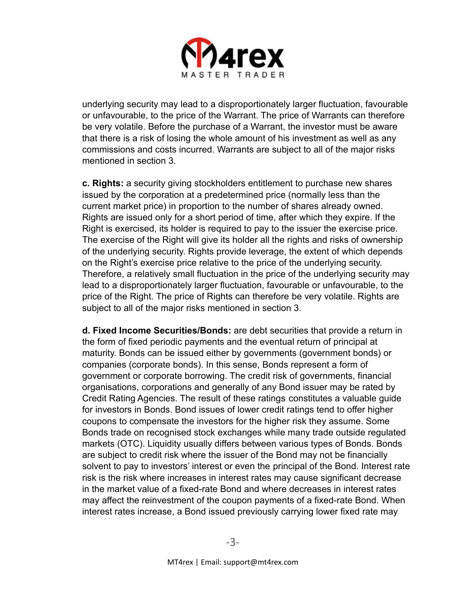

underlying security may lead to a disproportionately larger fluctuation, favourable or unfavourable, to the price of the Warrant. The price of Warrants can therefore be very volatile. Before the purchase of a Warrant, the investor must be aware that there is a risk of losing the whole amount of his investment as well as any commissions and costs incurred. Warrants are subject to all of the major risks mentioned in section 3.

**c. Rights:** a security giving stockholders entitlement to purchase new shares issued by the corporation at a predetermined price (normally less than the current market price) in proportion to the number of shares already owned. Rights are issued only for a short period of time, after which they expire. If the Right is exercised, its holder is required to pay to the issuer the exercise price. The exercise of the Right will give its holder all the rights and risks of ownership of the underlying security. Rights provide leverage, the extent of which depends on the Right's exercise price relative to the price of the underlying security. Therefore, a relatively small fluctuation in the price of the underlying security may lead to a disproportionately larger fluctuation, favourable or unfavourable, to the price of the Right. The price of Rights can therefore be very volatile. Rights are subject to all of the major risks mentioned in section 3.

**d. Fixed Income Securities/Bonds:** are debt securities that provide a return in the form of fixed periodic payments and the eventual return of principal at maturity. Bonds can be issued either by governments (government bonds) or companies (corporate bonds). In this sense, Bonds represent a form of government or corporate borrowing. The credit risk of governments, financial organisations, corporations and generally of any Bond issuer may be rated by Credit Rating Agencies. The result of these ratings constitutes a valuable guide for investors in Bonds. Bond issues of lower credit ratings tend to offer higher coupons to compensate the investors for the higher risk they assume. Some Bonds trade on recognised stock exchanges while many trade outside regulated markets (OTC). Liquidity usually differs between various types of Bonds. Bonds are subject to credit risk where the issuer of the Bond may not be financially solvent to pay to investors' interest or even the principal of the Bond. Interest rate risk is the risk where increases in interest rates may cause significant decrease in the market value of a fixed-rate Bond and where decreases in interest rates may affect the reinvestment of the coupon payments of a fixed-rate Bond. When interest rates increase, a Bond issued previously carrying lower fixed rate may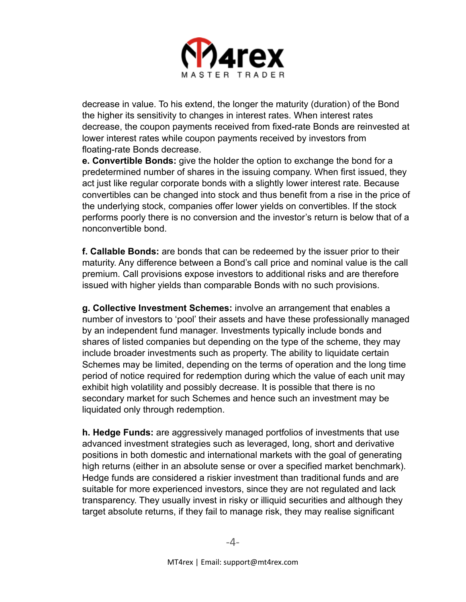

decrease in value. To his extend, the longer the maturity (duration) of the Bond the higher its sensitivity to changes in interest rates. When interest rates decrease, the coupon payments received from fixed-rate Bonds are reinvested at lower interest rates while coupon payments received by investors from floating-rate Bonds decrease.

**e. Convertible Bonds:** give the holder the option to exchange the bond for a predetermined number of shares in the issuing company. When first issued, they act just like regular corporate bonds with a slightly lower interest rate. Because convertibles can be changed into stock and thus benefit from a rise in the price of the underlying stock, companies offer lower yields on convertibles. If the stock performs poorly there is no conversion and the investor's return is below that of a nonconvertible bond.

**f. Callable Bonds:** are bonds that can be redeemed by the issuer prior to their maturity. Any difference between a Bond's call price and nominal value is the call premium. Call provisions expose investors to additional risks and are therefore issued with higher yields than comparable Bonds with no such provisions.

**g. Collective Investment Schemes:** involve an arrangement that enables a number of investors to 'pool' their assets and have these professionally managed by an independent fund manager. Investments typically include bonds and shares of listed companies but depending on the type of the scheme, they may include broader investments such as property. The ability to liquidate certain Schemes may be limited, depending on the terms of operation and the long time period of notice required for redemption during which the value of each unit may exhibit high volatility and possibly decrease. It is possible that there is no secondary market for such Schemes and hence such an investment may be liquidated only through redemption.

**h. Hedge Funds:** are aggressively managed portfolios of investments that use advanced investment strategies such as leveraged, long, short and derivative positions in both domestic and international markets with the goal of generating high returns (either in an absolute sense or over a specified market benchmark). Hedge funds are considered a riskier investment than traditional funds and are suitable for more experienced investors, since they are not regulated and lack transparency. They usually invest in risky or illiquid securities and although they target absolute returns, if they fail to manage risk, they may realise significant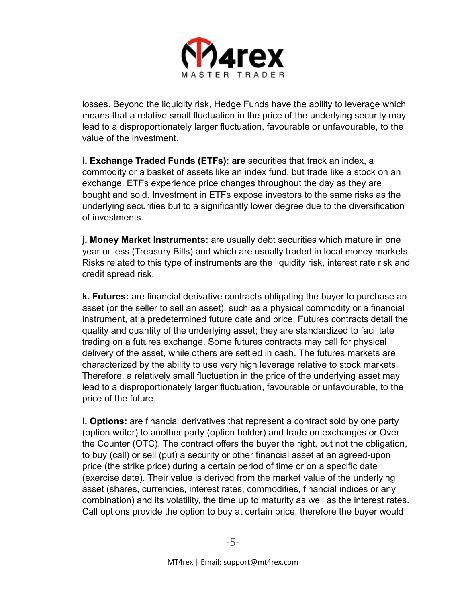

losses. Beyond the liquidity risk, Hedge Funds have the ability to leverage which means that a relative small fluctuation in the price of the underlying security may lead to a disproportionately larger fluctuation, favourable or unfavourable, to the value of the investment.

**i. Exchange Traded Funds (ETFs): are** securities that track an index, a commodity or a basket of assets like an index fund, but trade like a stock on an exchange. ETFs experience price changes throughout the day as they are bought and sold. Investment in ETFs expose investors to the same risks as the underlying securities but to a significantly lower degree due to the diversification of investments.

**j. Money Market Instruments:** are usually debt securities which mature in one year or less (Treasury Bills) and which are usually traded in local money markets. Risks related to this type of instruments are the liquidity risk, interest rate risk and credit spread risk.

**k. Futures:** are financial derivative contracts obligating the buyer to purchase an asset (or the seller to sell an asset), such as a physical commodity or a financial instrument, at a predetermined future date and price. Futures contracts detail the quality and quantity of the underlying asset; they are standardized to facilitate trading on a futures exchange. Some futures contracts may call for physical delivery of the asset, while others are settled in cash. The futures markets are characterized by the ability to use very high leverage relative to stock markets. Therefore, a relatively small fluctuation in the price of the underlying asset may lead to a disproportionately larger fluctuation, favourable or unfavourable, to the price of the future.

**l. Options:** are financial derivatives that represent a contract sold by one party (option writer) to another party (option holder) and trade on exchanges or Over the Counter (OTC). The contract offers the buyer the right, but not the obligation, to buy (call) or sell (put) a security or other financial asset at an agreed-upon price (the strike price) during a certain period of time or on a specific date (exercise date). Their value is derived from the market value of the underlying asset (shares, currencies, interest rates, commodities, financial indices or any combination) and its volatility, the time up to maturity as well as the interest rates. Call options provide the option to buy at certain price, therefore the buyer would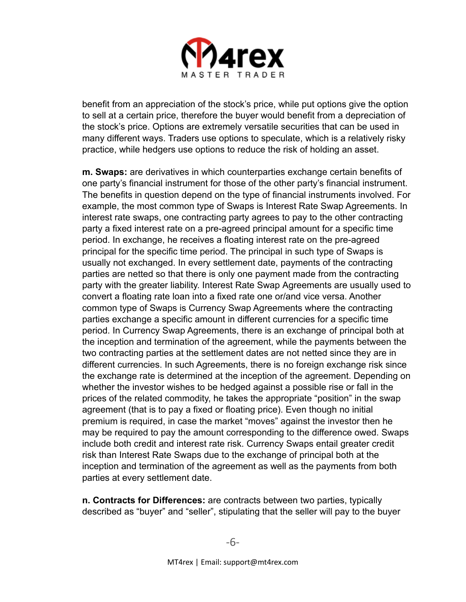

benefit from an appreciation of the stock's price, while put options give the option to sell at a certain price, therefore the buyer would benefit from a depreciation of the stock's price. Options are extremely versatile securities that can be used in many different ways. Traders use options to speculate, which is a relatively risky practice, while hedgers use options to reduce the risk of holding an asset.

**m. Swaps:** are derivatives in which counterparties exchange certain benefits of one party's financial instrument for those of the other party's financial instrument. The benefits in question depend on the type of financial instruments involved. For example, the most common type of Swaps is Interest Rate Swap Agreements. In interest rate swaps, one contracting party agrees to pay to the other contracting party a fixed interest rate on a pre-agreed principal amount for a specific time period. In exchange, he receives a floating interest rate on the pre-agreed principal for the specific time period. The principal in such type of Swaps is usually not exchanged. In every settlement date, payments of the contracting parties are netted so that there is only one payment made from the contracting party with the greater liability. Interest Rate Swap Agreements are usually used to convert a floating rate loan into a fixed rate one or/and vice versa. Another common type of Swaps is Currency Swap Agreements where the contracting parties exchange a specific amount in different currencies for a specific time period. In Currency Swap Agreements, there is an exchange of principal both at the inception and termination of the agreement, while the payments between the two contracting parties at the settlement dates are not netted since they are in different currencies. In such Agreements, there is no foreign exchange risk since the exchange rate is determined at the inception of the agreement. Depending on whether the investor wishes to be hedged against a possible rise or fall in the prices of the related commodity, he takes the appropriate "position" in the swap agreement (that is to pay a fixed or floating price). Even though no initial premium is required, in case the market "moves" against the investor then he may be required to pay the amount corresponding to the difference owed. Swaps include both credit and interest rate risk. Currency Swaps entail greater credit risk than Interest Rate Swaps due to the exchange of principal both at the inception and termination of the agreement as well as the payments from both parties at every settlement date.

**n. Contracts for Differences:** are contracts between two parties, typically described as "buyer" and "seller", stipulating that the seller will pay to the buyer